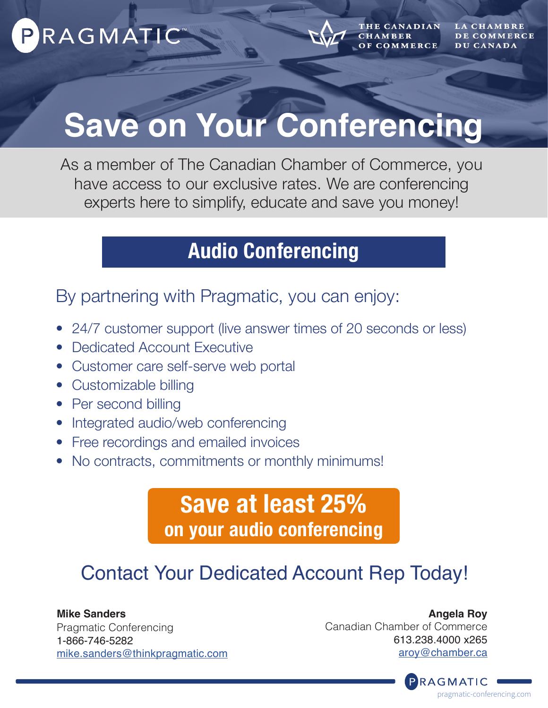



**HE CANADIAN CHAMBER COMMERCE** 

DE COMMERCE DU CANADA

# **Save on Your Conferencing**

As a member of The Canadian Chamber of Commerce, you have access to our exclusive rates. We are conferencing experts here to simplify, educate and save you money!

### **Audio Conferencing**

By partnering with Pragmatic, you can enjoy:

- 24/7 customer support (live answer times of 20 seconds or less)
- Dedicated Account Executive
- Customer care self-serve web portal
- Customizable billing
- Per second billing
- Integrated audio/web conferencing
- Free recordings and emailed invoices
- No contracts, commitments or monthly minimums!

### **Save at least 25% on your audio conferencing**

### Contact Your Dedicated Account Rep Today!

**Mike Sanders** Pragmatic Conferencing 1-866-746-5282 [mike.sanders@thinkpragmatic.com](mailto:mike.sanders%40thinkpragmatic.com?subject=)

**Angela Roy** Canadian Chamber of Commerce 613.238.4000 x265 [aroy@chamber.ca](mailto:aroy%40chamber.ca?subject=)